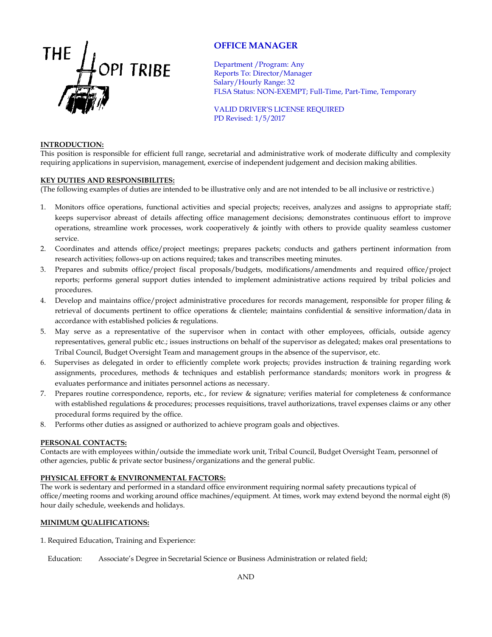

# **OFFICE MANAGER**

Department /Program: Any Reports To: Director/Manager Salary/Hourly Range: 32 FLSA Status: NON-EXEMPT; Full-Time, Part-Time, Temporary

VALID DRIVER'S LICENSE REQUIRED PD Revised: 1/5/2017

#### **INTRODUCTION:**

This position is responsible for efficient full range, secretarial and administrative work of moderate difficulty and complexity requiring applications in supervision, management, exercise of independent judgement and decision making abilities.

#### **KEY DUTIES AND RESPONSIBILITES:**

(The following examples of duties are intended to be illustrative only and are not intended to be all inclusive or restrictive.)

- 1. Monitors office operations, functional activities and special projects; receives, analyzes and assigns to appropriate staff; keeps supervisor abreast of details affecting office management decisions; demonstrates continuous effort to improve operations, streamline work processes, work cooperatively & jointly with others to provide quality seamless customer service.
- 2. Coordinates and attends office/project meetings; prepares packets; conducts and gathers pertinent information from research activities; follows-up on actions required; takes and transcribes meeting minutes.
- 3. Prepares and submits office/project fiscal proposals/budgets, modifications/amendments and required office/project reports; performs general support duties intended to implement administrative actions required by tribal policies and procedures.
- 4. Develop and maintains office/project administrative procedures for records management, responsible for proper filing & retrieval of documents pertinent to office operations & clientele; maintains confidential & sensitive information/data in accordance with established policies & regulations.
- 5. May serve as a representative of the supervisor when in contact with other employees, officials, outside agency representatives, general public etc.; issues instructions on behalf of the supervisor as delegated; makes oral presentations to Tribal Council, Budget Oversight Team and management groups in the absence of the supervisor, etc.
- 6. Supervises as delegated in order to efficiently complete work projects; provides instruction & training regarding work assignments, procedures, methods & techniques and establish performance standards; monitors work in progress & evaluates performance and initiates personnel actions as necessary.
- 7. Prepares routine correspondence, reports, etc., for review & signature; verifies material for completeness & conformance with established regulations & procedures; processes requisitions, travel authorizations, travel expenses claims or any other procedural forms required by the office.
- 8. Performs other duties as assigned or authorized to achieve program goals and objectives.

### **PERSONAL CONTACTS:**

Contacts are with employees within/outside the immediate work unit, Tribal Council, Budget Oversight Team, personnel of other agencies, public & private sector business/organizations and the general public.

### **PHYSICAL EFFORT & ENVIRONMENTAL FACTORS:**

The work is sedentary and performed in a standard office environment requiring normal safety precautions typical of office/meeting rooms and working around office machines/equipment. At times, work may extend beyond the normal eight (8) hour daily schedule, weekends and holidays.

## **MINIMUM QUALIFICATIONS:**

1. Required Education, Training and Experience:

Education: Associate's Degree in Secretarial Science or Business Administration or related field;